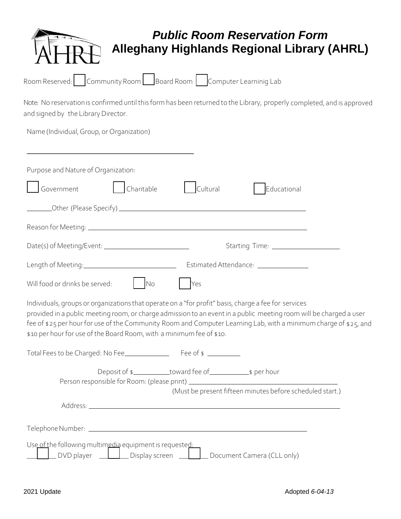|                                                   |                                                                                                                         |          | <b>Public Room Reservation Form</b><br><b>Alleghany Highlands Regional Library (AHRL)</b> |  |
|---------------------------------------------------|-------------------------------------------------------------------------------------------------------------------------|----------|-------------------------------------------------------------------------------------------|--|
|                                                   | Room Reserved: Community Room Board Room   Computer Learninig Lab                                                       |          |                                                                                           |  |
| and signed by the Library Director.               | Note: No reservation is confirmed until this form has been returned to the Library, properly completed, and is approved |          |                                                                                           |  |
| Name (Individual, Group, or Organization)         |                                                                                                                         |          |                                                                                           |  |
| Purpose and Nature of Organization:<br>Government | Charitable                                                                                                              | Cultural | Educational                                                                               |  |

|  | Use of the following multimedia equipment is requested: |                                                        |
|--|---------------------------------------------------------|--------------------------------------------------------|
|  |                                                         | DVD player Display screen   Document Camera (CLL only) |

Other (Please Specify)

Length of Meeting: EstimatedAttendance:

Individuals, groups or organizationsthat operate on a "for profit" basis, charge a fee for services

Date(s) of Meeting/Event: Starting Time:

provided in a public meeting room, or charge admission to an eventin a public meeting room will be charged a user fee of \$25 per hour for use of the Community Room and Computer Learning Lab, with a minimum charge of \$25, and

Deposit of \$ toward fee of \$ per hour

(Must be present fifteen minutes before scheduled start.)

Reason for Meeting:

Will food or drinks be served: No Nes

\$10 per hour for use of the Board Room, with a minimum fee of \$10.

Total Fees to be Charged: No Fee Fee of \$

Person responsible for Room: (please print)

Address: Leaderston, and the same state of the state of the state of the state of the state of the state of the state of the state of the state of the state of the state of the state of the state of the state of the state

TelephoneNumber: